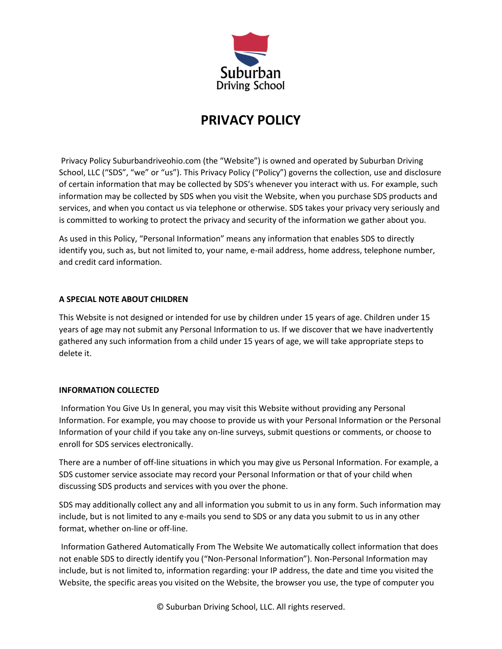

# **PRIVACY POLICY**

Privacy Policy Suburbandriveohio.com (the "Website") is owned and operated by Suburban Driving School, LLC ("SDS", "we" or "us"). This Privacy Policy ("Policy") governs the collection, use and disclosure of certain information that may be collected by SDS's whenever you interact with us. For example, such information may be collected by SDS when you visit the Website, when you purchase SDS products and services, and when you contact us via telephone or otherwise. SDS takes your privacy very seriously and is committed to working to protect the privacy and security of the information we gather about you.

As used in this Policy, "Personal Information" means any information that enables SDS to directly identify you, such as, but not limited to, your name, e-mail address, home address, telephone number, and credit card information.

## **A SPECIAL NOTE ABOUT CHILDREN**

This Website is not designed or intended for use by children under 15 years of age. Children under 15 years of age may not submit any Personal Information to us. If we discover that we have inadvertently gathered any such information from a child under 15 years of age, we will take appropriate steps to delete it.

## **INFORMATION COLLECTED**

Information You Give Us In general, you may visit this Website without providing any Personal Information. For example, you may choose to provide us with your Personal Information or the Personal Information of your child if you take any on-line surveys, submit questions or comments, or choose to enroll for SDS services electronically.

There are a number of off-line situations in which you may give us Personal Information. For example, a SDS customer service associate may record your Personal Information or that of your child when discussing SDS products and services with you over the phone.

SDS may additionally collect any and all information you submit to us in any form. Such information may include, but is not limited to any e-mails you send to SDS or any data you submit to us in any other format, whether on-line or off-line.

Information Gathered Automatically From The Website We automatically collect information that does not enable SDS to directly identify you ("Non-Personal Information"). Non-Personal Information may include, but is not limited to, information regarding: your IP address, the date and time you visited the Website, the specific areas you visited on the Website, the browser you use, the type of computer you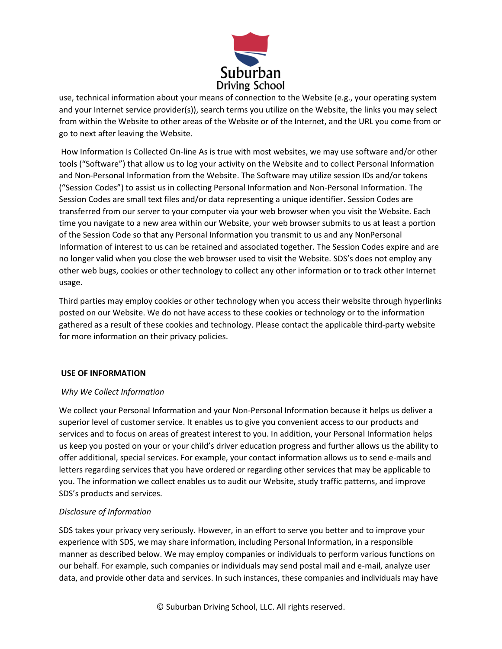

use, technical information about your means of connection to the Website (e.g., your operating system and your Internet service provider(s)), search terms you utilize on the Website, the links you may select from within the Website to other areas of the Website or of the Internet, and the URL you come from or go to next after leaving the Website.

How Information Is Collected On-line As is true with most websites, we may use software and/or other tools ("Software") that allow us to log your activity on the Website and to collect Personal Information and Non-Personal Information from the Website. The Software may utilize session IDs and/or tokens ("Session Codes") to assist us in collecting Personal Information and Non-Personal Information. The Session Codes are small text files and/or data representing a unique identifier. Session Codes are transferred from our server to your computer via your web browser when you visit the Website. Each time you navigate to a new area within our Website, your web browser submits to us at least a portion of the Session Code so that any Personal Information you transmit to us and any NonPersonal Information of interest to us can be retained and associated together. The Session Codes expire and are no longer valid when you close the web browser used to visit the Website. SDS's does not employ any other web bugs, cookies or other technology to collect any other information or to track other Internet usage.

Third parties may employ cookies or other technology when you access their website through hyperlinks posted on our Website. We do not have access to these cookies or technology or to the information gathered as a result of these cookies and technology. Please contact the applicable third-party website for more information on their privacy policies.

## **USE OF INFORMATION**

## *Why We Collect Information*

We collect your Personal Information and your Non-Personal Information because it helps us deliver a superior level of customer service. It enables us to give you convenient access to our products and services and to focus on areas of greatest interest to you. In addition, your Personal Information helps us keep you posted on your or your child's driver education progress and further allows us the ability to offer additional, special services. For example, your contact information allows us to send e-mails and letters regarding services that you have ordered or regarding other services that may be applicable to you. The information we collect enables us to audit our Website, study traffic patterns, and improve SDS's products and services.

## *Disclosure of Information*

SDS takes your privacy very seriously. However, in an effort to serve you better and to improve your experience with SDS, we may share information, including Personal Information, in a responsible manner as described below. We may employ companies or individuals to perform various functions on our behalf. For example, such companies or individuals may send postal mail and e-mail, analyze user data, and provide other data and services. In such instances, these companies and individuals may have